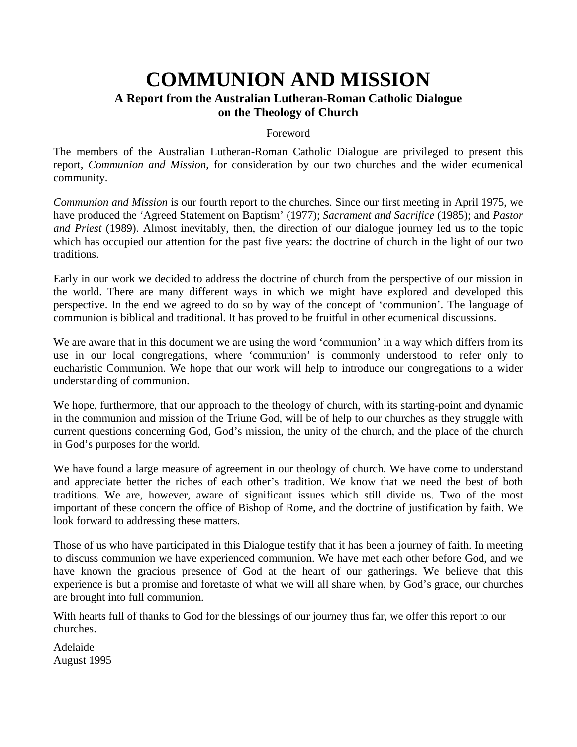### **COMMUNION AND MISSION A Report from the Australian Lutheran-Roman Catholic Dialogue on the Theology of Church**

### Foreword

The members of the Australian Lutheran-Roman Catholic Dialogue are privileged to present this report, *Communion and Mission,* for consideration by our two churches and the wider ecumenical community.

*Communion and Mission* is our fourth report to the churches. Since our first meeting in April 1975, we have produced the 'Agreed Statement on Baptism' (1977); *Sacrament and Sacrifice* (1985); and *Pastor and Priest* (1989). Almost inevitably, then, the direction of our dialogue journey led us to the topic which has occupied our attention for the past five years: the doctrine of church in the light of our two traditions.

Early in our work we decided to address the doctrine of church from the perspective of our mission in the world. There are many different ways in which we might have explored and developed this perspective. In the end we agreed to do so by way of the concept of 'communion'. The language of communion is biblical and traditional. It has proved to be fruitful in other ecumenical discussions.

We are aware that in this document we are using the word 'communion' in a way which differs from its use in our local congregations, where 'communion' is commonly understood to refer only to eucharistic Communion. We hope that our work will help to introduce our congregations to a wider understanding of communion.

We hope, furthermore, that our approach to the theology of church, with its starting-point and dynamic in the communion and mission of the Triune God, will be of help to our churches as they struggle with current questions concerning God, God's mission, the unity of the church, and the place of the church in God's purposes for the world.

We have found a large measure of agreement in our theology of church. We have come to understand and appreciate better the riches of each other's tradition. We know that we need the best of both traditions. We are, however, aware of significant issues which still divide us. Two of the most important of these concern the office of Bishop of Rome, and the doctrine of justification by faith. We look forward to addressing these matters.

Those of us who have participated in this Dialogue testify that it has been a journey of faith. In meeting to discuss communion we have experienced communion. We have met each other before God, and we have known the gracious presence of God at the heart of our gatherings. We believe that this experience is but a promise and foretaste of what we will all share when, by God's grace, our churches are brought into full communion.

With hearts full of thanks to God for the blessings of our journey thus far, we offer this report to our churches.

Adelaide August 1995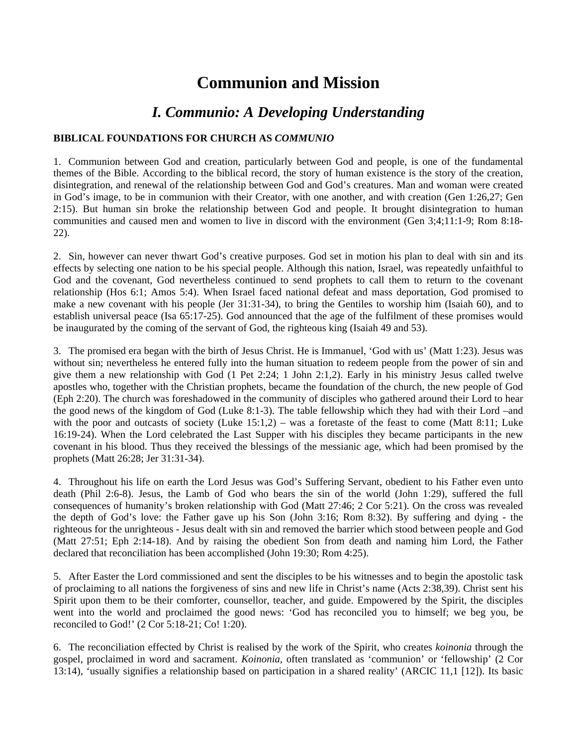### **Communion and Mission**

### *I. Communio: A Developing Understanding*

### **BIBLICAL FOUNDATIONS FOR CHURCH AS** *COMMUNIO*

1. Communion between God and creation, particularly between God and people, is one of the fundamental themes of the Bible. According to the biblical record, the story of human existence is the story of the creation, disintegration, and renewal of the relationship between God and God's creatures. Man and woman were created in God's image, to be in communion with their Creator, with one another, and with creation (Gen 1:26,27; Gen 2:15). But human sin broke the relationship between God and people. It brought disintegration to human communities and caused men and women to live in discord with the environment (Gen 3;4;11:1-9; Rom 8:18- 22).

2. Sin, however can never thwart God's creative purposes. God set in motion his plan to deal with sin and its effects by selecting one nation to be his special people. Although this nation, Israel, was repeatedly unfaithful to God and the covenant, God nevertheless continued to send prophets to call them to return to the covenant relationship (Hos 6:1; Amos 5:4). When Israel faced national defeat and mass deportation, God promised to make a new covenant with his people (Jer 31:31-34), to bring the Gentiles to worship him (Isaiah 60), and to establish universal peace (Isa 65:17-25). God announced that the age of the fulfilment of these promises would be inaugurated by the coming of the servant of God, the righteous king (Isaiah 49 and 53).

3. The promised era began with the birth of Jesus Christ. He is Immanuel, 'God with us' (Matt 1:23). Jesus was without sin; nevertheless he entered fully into the human situation to redeem people from the power of sin and give them a new relationship with God (1 Pet 2:24; 1 John 2:1,2). Early in his ministry Jesus called twelve apostles who, together with the Christian prophets, became the foundation of the church, the new people of God (Eph 2:20). The church was foreshadowed in the community of disciples who gathered around their Lord to hear the good news of the kingdom of God (Luke 8:1-3). The table fellowship which they had with their Lord –and with the poor and outcasts of society (Luke 15:1,2) – was a foretaste of the feast to come (Matt 8:11; Luke 16:19-24). When the Lord celebrated the Last Supper with his disciples they became participants in the new covenant in his blood. Thus they received the blessings of the messianic age, which had been promised by the prophets (Matt 26:28; Jer 31:31-34).

4. Throughout his life on earth the Lord Jesus was God's Suffering Servant, obedient to his Father even unto death (Phil 2:6-8). Jesus, the Lamb of God who bears the sin of the world (John 1:29), suffered the full consequences of humanity's broken relationship with God (Matt 27:46; 2 Cor 5:21). On the cross was revealed the depth of God's love: the Father gave up his Son (John 3:16; Rom 8:32). By suffering and dying - the righteous for the unrighteous - Jesus dealt with sin and removed the barrier which stood between people and God (Matt 27:51; Eph 2:14-18). And by raising the obedient Son from death and naming him Lord, the Father declared that reconciliation has been accomplished (John 19:30; Rom 4:25).

5. After Easter the Lord commissioned and sent the disciples to be his witnesses and to begin the apostolic task of proclaiming to all nations the forgiveness of sins and new life in Christ's name (Acts 2:38,39). Christ sent his Spirit upon them to be their comforter, counsellor, teacher, and guide. Empowered by the Spirit, the disciples went into the world and proclaimed the good news: 'God has reconciled you to himself; we beg you, be reconciled to God!' (2 Cor 5:18-21; Co! 1:20).

6. The reconciliation effected by Christ is realised by the work of the Spirit, who creates *koinonia* through the gospel, proclaimed in word and sacrament. *Koinonia,* often translated as 'communion' or 'fellowship' (2 Cor 13:14), 'usually signifies a relationship based on participation in a shared reality' (ARCIC 11,1 [12]). Its basic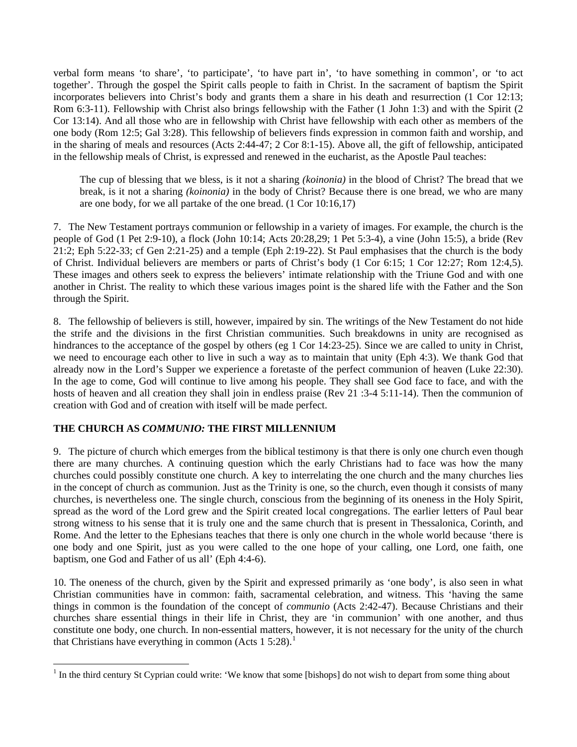verbal form means 'to share', 'to participate', 'to have part in', 'to have something in common', or 'to act together'. Through the gospel the Spirit calls people to faith in Christ. In the sacrament of baptism the Spirit incorporates believers into Christ's body and grants them a share in his death and resurrection (1 Cor 12:13; Rom 6:3-11). Fellowship with Christ also brings fellowship with the Father (1 John 1:3) and with the Spirit (2 Cor 13:14). And all those who are in fellowship with Christ have fellowship with each other as members of the one body (Rom 12:5; Gal 3:28). This fellowship of believers finds expression in common faith and worship, and in the sharing of meals and resources (Acts 2:44-47; 2 Cor 8:1-15). Above all, the gift of fellowship, anticipated in the fellowship meals of Christ, is expressed and renewed in the eucharist, as the Apostle Paul teaches:

The cup of blessing that we bless, is it not a sharing *(koinonia)* in the blood of Christ? The bread that we break, is it not a sharing *(koinonia)* in the body of Christ? Because there is one bread, we who are many are one body, for we all partake of the one bread. (1 Cor 10:16,17)

7. The New Testament portrays communion or fellowship in a variety of images. For example, the church is the people of God (1 Pet 2:9-10), a flock (John 10:14; Acts 20:28,29; 1 Pet 5:3-4), a vine (John 15:5), a bride (Rev  $21:2$ ; Eph 5:22-33; cf Gen 2:21-25) and a temple (Eph 2:19-22). St Paul emphasises that the church is the body of Christ. Individual believers are members or parts of Christ's body (1 Cor 6:15; 1 Cor 12:27; Rom 12:4,5). These images and others seek to express the believers' intimate relationship with the Triune God and with one another in Christ. The reality to which these various images point is the shared life with the Father and the Son through the Spirit.

8. The fellowship of believers is still, however, impaired by sin. The writings of the New Testament do not hide the strife and the divisions in the first Christian communities. Such breakdowns in unity are recognised as hindrances to the acceptance of the gospel by others (eg 1 Cor 14:23-25). Since we are called to unity in Christ, we need to encourage each other to live in such a way as to maintain that unity (Eph 4:3). We thank God that already now in the Lord's Supper we experience a foretaste of the perfect communion of heaven (Luke 22:30). In the age to come, God will continue to live among his people. They shall see God face to face, and with the hosts of heaven and all creation they shall join in endless praise (Rev 21:3-4 5:11-14). Then the communion of creation with God and of creation with itself will be made perfect.

### **THE CHURCH AS** *COMMUNIO:* **THE FIRST MILLENNIUM**

 $\overline{a}$ 

9. The picture of church which emerges from the biblical testimony is that there is only one church even though there are many churches. A continuing question which the early Christians had to face was how the many churches could possibly constitute one church. A key to interrelating the one church and the many churches lies in the concept of church as communion. Just as the Trinity is one, so the church, even though it consists of many churches, is nevertheless one. The single church, conscious from the beginning of its oneness in the Holy Spirit, spread as the word of the Lord grew and the Spirit created local congregations. The earlier letters of Paul bear strong witness to his sense that it is truly one and the same church that is present in Thessalonica, Corinth, and Rome. And the letter to the Ephesians teaches that there is only one church in the whole world because 'there is one body and one Spirit, just as you were called to the one hope of your calling, one Lord, one faith, one baptism, one God and Father of us all' (Eph 4:4-6).

10. The oneness of the church, given by the Spirit and expressed primarily as 'one body', is also seen in what Christian communities have in common: faith, sacramental celebration, and witness. This 'having the same things in common is the foundation of the concept of *communio* (Acts 2:42-47). Because Christians and their churches share essential things in their life in Christ, they are 'in communion' with one another, and thus constitute one body, one church. In non-essential matters, however, it is not necessary for the unity of the church that Christians have everything in common (Acts  $1.5:28$  $1.5:28$ ).<sup>1</sup>

<span id="page-2-0"></span> $<sup>1</sup>$  In the third century St Cyprian could write: 'We know that some [bishops] do not wish to depart from some thing about</sup>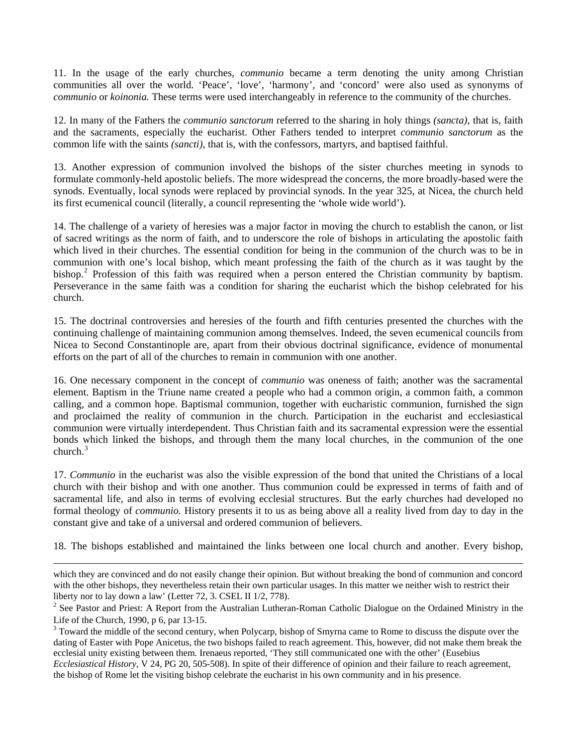11. In the usage of the early churches, *communio* became a term denoting the unity among Christian communities all over the world. 'Peace', 'love', 'harmony', and 'concord' were also used as synonyms of *communio* or *koinonia.* These terms were used interchangeably in reference to the community of the churches.

12. In many of the Fathers the *communio sanctorum* referred to the sharing in holy things *(sancta),* that is, faith and the sacraments, especially the eucharist. Other Fathers tended to interpret *communio sanctorum* as the common life with the saints *(sancti),* that is, with the confessors, martyrs, and baptised faithful.

13. Another expression of communion involved the bishops of the sister churches meeting in synods to formulate commonly-held apostolic beliefs. The more widespread the concerns, the more broadly-based were the synods. Eventually, local synods were replaced by provincial synods. In the year 325, at Nicea, the church held its first ecumenical council (literally, a council representing the 'whole wide world').

14. The challenge of a variety of heresies was a major factor in moving the church to establish the canon, or list of sacred writings as the norm of faith, and to underscore the role of bishops in articulating the apostolic faith which lived in their churches. The essential condition for being in the communion of the church was to be in communion with one's local bishop, which meant professing the faith of the church as it was taught by the bishop.<sup>[2](#page-3-0)</sup> Profession of this faith was required when a person entered the Christian community by baptism. Perseverance in the same faith was a condition for sharing the eucharist which the bishop celebrated for his church.

15. The doctrinal controversies and heresies of the fourth and fifth centuries presented the churches with the continuing challenge of maintaining communion among themselves. Indeed, the seven ecumenical councils from Nicea to Second Constantinople are, apart from their obvious doctrinal significance, evidence of monumental efforts on the part of all of the churches to remain in communion with one another.

16. One necessary component in the concept of *communio* was oneness of faith; another was the sacramental element. Baptism in the Triune name created a people who had a common origin, a common faith, a common calling, and a common hope. Baptismal communion, together with eucharistic communion, furnished the sign and proclaimed the reality of communion in the church. Participation in the eucharist and ecclesiastical communion were virtually interdependent. Thus Christian faith and its sacramental expression were the essential bonds which linked the bishops, and through them the many local churches, in the communion of the one church $3$ 

17. *Communio* in the eucharist was also the visible expression of the bond that united the Christians of a local church with their bishop and with one another. Thus communion could be expressed in terms of faith and of sacramental life, and also in terms of evolving ecclesial structures. But the early churches had developed no formal theology of *communio.* History presents it to us as being above all a reality lived from day to day in the constant give and take of a universal and ordered communion of believers.

18. The bishops established and maintained the links between one local church and another. Every bishop,

which they are convinced and do not easily change their opinion. But without breaking the bond of communion and concord with the other bishops, they nevertheless retain their own particular usages. In this matter we neither wish to restrict their liberty nor to lay down a law' (Letter 72, 3. CSEL II 1/2, 778).

<span id="page-3-0"></span> $2^2$  See Pastor and Priest: A Report from the Australian Lutheran-Roman Catholic Dialogue on the Ordained Ministry in the Life of the Church, 1990, p 6, par 13-15.

<span id="page-3-1"></span> $3$  Toward the middle of the second century, when Polycarp, bishop of Smyrna came to Rome to discuss the dispute over the dating of Easter with Pope Anicetus, the two bishops failed to reach agreement. This, however, did not make them break the ecclesial unity existing between them. Irenaeus reported, 'They still communicated one with the other' (Eusebius *Ecclesiastical History,* V 24, PG 20, 505-508). In spite of their difference of opinion and their failure to reach agreement, the bishop of Rome let the visiting bishop celebrate the eucharist in his own community and in his presence.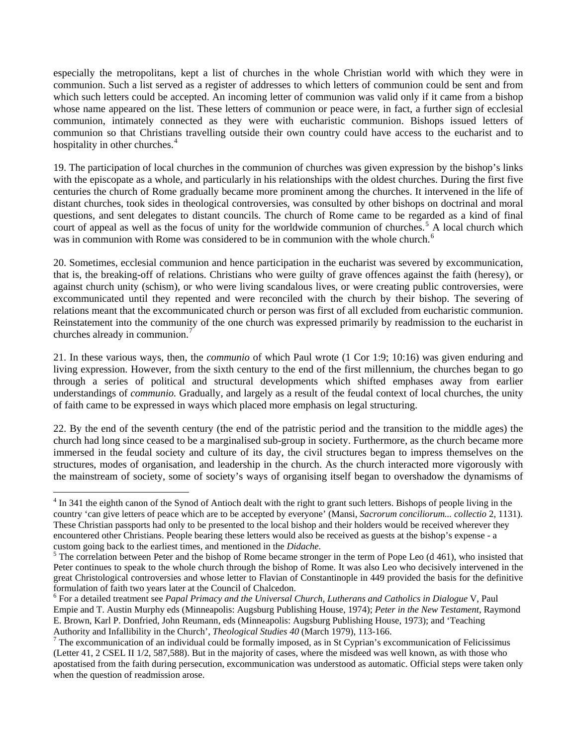especially the metropolitans, kept a list of churches in the whole Christian world with which they were in communion. Such a list served as a register of addresses to which letters of communion could be sent and from which such letters could be accepted. An incoming letter of communion was valid only if it came from a bishop whose name appeared on the list. These letters of communion or peace were, in fact, a further sign of ecclesial communion, intimately connected as they were with eucharistic communion. Bishops issued letters of communion so that Christians travelling outside their own country could have access to the eucharist and to hospitality in other churches.<sup>[4](#page-4-0)</sup>

19. The participation of local churches in the communion of churches was given expression by the bishop's links with the episcopate as a whole, and particularly in his relationships with the oldest churches. During the first five centuries the church of Rome gradually became more prominent among the churches. It intervened in the life of distant churches, took sides in theological controversies, was consulted by other bishops on doctrinal and moral questions, and sent delegates to distant councils. The church of Rome came to be regarded as a kind of final court of appeal as well as the focus of unity for the worldwide communion of churches.<sup>[5](#page-4-1)</sup> A local church which was in communion with Rome was considered to be in communion with the whole church.<sup>[6](#page-4-2)</sup>

20. Sometimes, ecclesial communion and hence participation in the eucharist was severed by excommunication, that is, the breaking-off of relations. Christians who were guilty of grave offences against the faith (heresy), or against church unity (schism), or who were living scandalous lives, or were creating public controversies, were excommunicated until they repented and were reconciled with the church by their bishop. The severing of relations meant that the excommunicated church or person was first of all excluded from eucharistic communion. Reinstatement into the community of the one church was expressed primarily by readmission to the eucharist in churches already in communion.<sup>[7](#page-4-3)</sup>

21. In these various ways, then, the *communio* of which Paul wrote (1 Cor 1:9; 10:16) was given enduring and living expression. However, from the sixth century to the end of the first millennium, the churches began to go through a series of political and structural developments which shifted emphases away from earlier understandings of *communio.* Gradually, and largely as a result of the feudal context of local churches, the unity of faith came to be expressed in ways which placed more emphasis on legal structuring.

22. By the end of the seventh century (the end of the patristic period and the transition to the middle ages) the church had long since ceased to be a marginalised sub-group in society. Furthermore, as the church became more immersed in the feudal society and culture of its day, the civil structures began to impress themselves on the structures, modes of organisation, and leadership in the church. As the church interacted more vigorously with the mainstream of society, some of society's ways of organising itself began to overshadow the dynamisms of

 $\overline{a}$ 

<span id="page-4-0"></span> $4 \text{ In } 341$  the eighth canon of the Synod of Antioch dealt with the right to grant such letters. Bishops of people living in the country 'can give letters of peace which are to be accepted by everyone' (Mansi, *Sacrorum conciliorum... collectio* 2, 1131). These Christian passports had only to be presented to the local bishop and their holders would be received wherever they encountered other Christians. People bearing these letters would also be received as guests at the bishop's expense - a custom going back to the earliest times, and mentioned in the *Didache.* <sup>5</sup>

<span id="page-4-1"></span> $5$  The correlation between Peter and the bishop of Rome became stronger in the term of Pope Leo (d 461), who insisted that Peter continues to speak to the whole church through the bishop of Rome. It was also Leo who decisively intervened in the great Christological controversies and whose letter to Flavian of Constantinople in 449 provided the basis for the definitive formulation of faith two years later at the Council of Chalcedon.

<span id="page-4-2"></span><sup>6</sup> For a detailed treatment see *Papal Primacy and the Universal Church, Lutherans and Catholics in Dialogue* V, Paul Empie and T. Austin Murphy eds (Minneapolis: Augsburg Publishing House, 1974); *Peter in the New Testament,* Raymond E. Brown, Karl P. Donfried, John Reumann, eds (Minneapolis: Augsburg Publishing House, 1973); and 'Teaching Authority and Infallibility in the Church', *Theological Studies 40* (March 1979), 113-166. 7

<span id="page-4-3"></span> $7$  The excommunication of an individual could be formally imposed, as in St Cyprian's excommunication of Felicissimus (Letter 41, 2 CSEL II 1/2, 587,588). But in the majority of cases, where the misdeed was well known, as with those who apostatised from the faith during persecution, excommunication was understood as automatic. Official steps were taken only when the question of readmission arose.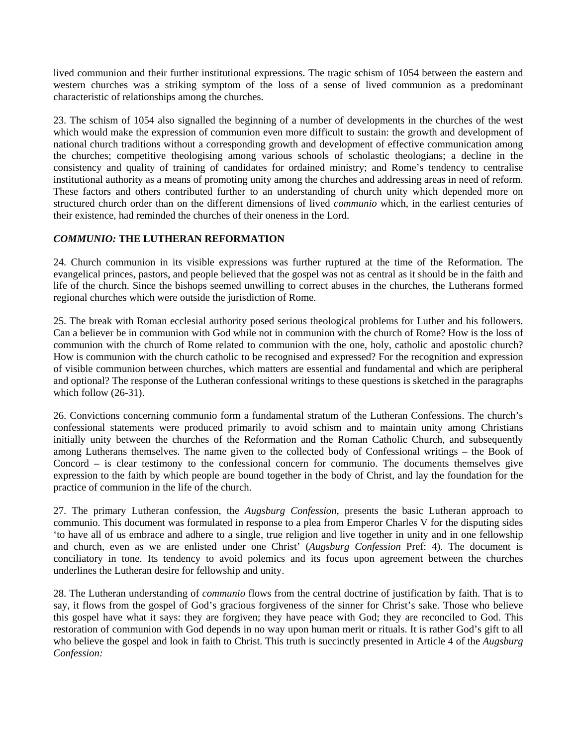lived communion and their further institutional expressions. The tragic schism of 1054 between the eastern and western churches was a striking symptom of the loss of a sense of lived communion as a predominant characteristic of relationships among the churches.

23. The schism of 1054 also signalled the beginning of a number of developments in the churches of the west which would make the expression of communion even more difficult to sustain: the growth and development of national church traditions without a corresponding growth and development of effective communication among the churches; competitive theologising among various schools of scholastic theologians; a decline in the consistency and quality of training of candidates for ordained ministry; and Rome's tendency to centralise institutional authority as a means of promoting unity among the churches and addressing areas in need of reform. These factors and others contributed further to an understanding of church unity which depended more on structured church order than on the different dimensions of lived *communio* which, in the earliest centuries of their existence, had reminded the churches of their oneness in the Lord.

### *COMMUNIO:* **THE LUTHERAN REFORMATION**

24. Church communion in its visible expressions was further ruptured at the time of the Reformation. The evangelical princes, pastors, and people believed that the gospel was not as central as it should be in the faith and life of the church. Since the bishops seemed unwilling to correct abuses in the churches, the Lutherans formed regional churches which were outside the jurisdiction of Rome.

25. The break with Roman ecclesial authority posed serious theological problems for Luther and his followers. Can a believer be in communion with God while not in communion with the church of Rome? How is the loss of communion with the church of Rome related to communion with the one, holy, catholic and apostolic church? How is communion with the church catholic to be recognised and expressed? For the recognition and expression of visible communion between churches, which matters are essential and fundamental and which are peripheral and optional? The response of the Lutheran confessional writings to these questions is sketched in the paragraphs which follow  $(26-31)$ .

26. Convictions concerning communio form a fundamental stratum of the Lutheran Confessions. The church's confessional statements were produced primarily to avoid schism and to maintain unity among Christians initially unity between the churches of the Reformation and the Roman Catholic Church, and subsequently among Lutherans themselves. The name given to the collected body of Confessional writings – the Book of Concord – is clear testimony to the confessional concern for communio. The documents themselves give expression to the faith by which people are bound together in the body of Christ, and lay the foundation for the practice of communion in the life of the church.

27. The primary Lutheran confession, the *Augsburg Confession*, presents the basic Lutheran approach to communio. This document was formulated in response to a plea from Emperor Charles V for the disputing sides 'to have all of us embrace and adhere to a single, true religion and live together in unity and in one fellowship and church, even as we are enlisted under one Christ' (*Augsburg Confession* Pref: 4). The document is conciliatory in tone. Its tendency to avoid polemics and its focus upon agreement between the churches underlines the Lutheran desire for fellowship and unity.

28. The Lutheran understanding of *communio* flows from the central doctrine of justification by faith. That is to say, it flows from the gospel of God's gracious forgiveness of the sinner for Christ's sake. Those who believe this gospel have what it says: they are forgiven; they have peace with God; they are reconciled to God. This restoration of communion with God depends in no way upon human merit or rituals. It is rather God's gift to all who believe the gospel and look in faith to Christ. This truth is succinctly presented in Article 4 of the *Augsburg Confession:*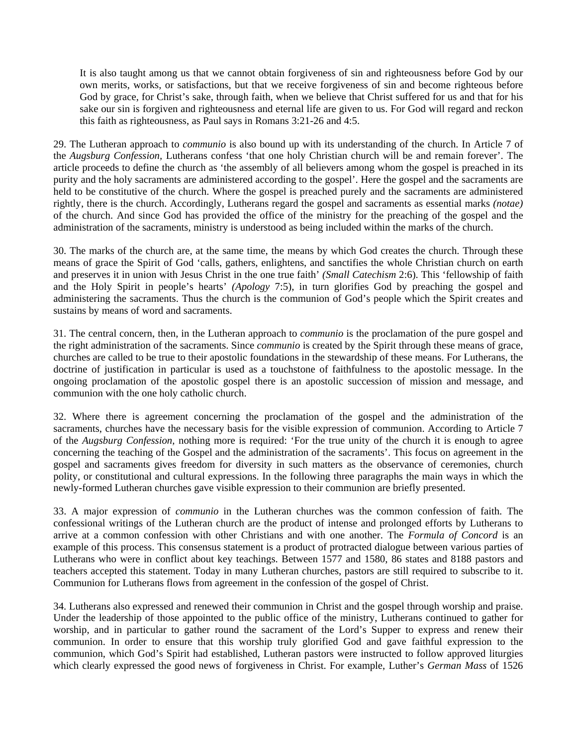It is also taught among us that we cannot obtain forgiveness of sin and righteousness before God by our own merits, works, or satisfactions, but that we receive forgiveness of sin and become righteous before God by grace, for Christ's sake, through faith, when we believe that Christ suffered for us and that for his sake our sin is forgiven and righteousness and eternal life are given to us. For God will regard and reckon this faith as righteousness, as Paul says in Romans 3:21-26 and 4:5.

29. The Lutheran approach to *communio* is also bound up with its understanding of the church. In Article 7 of the *Augsburg Confession,* Lutherans confess 'that one holy Christian church will be and remain forever'. The article proceeds to define the church as 'the assembly of all believers among whom the gospel is preached in its purity and the holy sacraments are administered according to the gospel'. Here the gospel and the sacraments are held to be constitutive of the church. Where the gospel is preached purely and the sacraments are administered rightly, there is the church. Accordingly, Lutherans regard the gospel and sacraments as essential marks *(notae)*  of the church. And since God has provided the office of the ministry for the preaching of the gospel and the administration of the sacraments, ministry is understood as being included within the marks of the church.

30. The marks of the church are, at the same time, the means by which God creates the church. Through these means of grace the Spirit of God 'calls, gathers, enlightens, and sanctifies the whole Christian church on earth and preserves it in union with Jesus Christ in the one true faith' *(Small Catechism* 2:6). This 'fellowship of faith and the Holy Spirit in people's hearts' *(Apology* 7:5), in turn glorifies God by preaching the gospel and administering the sacraments. Thus the church is the communion of God's people which the Spirit creates and sustains by means of word and sacraments.

31. The central concern, then, in the Lutheran approach to *communio* is the proclamation of the pure gospel and the right administration of the sacraments. Since *communio* is created by the Spirit through these means of grace, churches are called to be true to their apostolic foundations in the stewardship of these means. For Lutherans, the doctrine of justification in particular is used as a touchstone of faithfulness to the apostolic message. In the ongoing proclamation of the apostolic gospel there is an apostolic succession of mission and message, and communion with the one holy catholic church.

32. Where there is agreement concerning the proclamation of the gospel and the administration of the sacraments, churches have the necessary basis for the visible expression of communion. According to Article 7 of the *Augsburg Confession,* nothing more is required: 'For the true unity of the church it is enough to agree concerning the teaching of the Gospel and the administration of the sacraments'. This focus on agreement in the gospel and sacraments gives freedom for diversity in such matters as the observance of ceremonies, church polity, or constitutional and cultural expressions. In the following three paragraphs the main ways in which the newly-formed Lutheran churches gave visible expression to their communion are briefly presented.

33. A major expression of *communio* in the Lutheran churches was the common confession of faith. The confessional writings of the Lutheran church are the product of intense and prolonged efforts by Lutherans to arrive at a common confession with other Christians and with one another. The *Formula of Concord* is an example of this process. This consensus statement is a product of protracted dialogue between various parties of Lutherans who were in conflict about key teachings. Between 1577 and 1580, 86 states and 8188 pastors and teachers accepted this statement. Today in many Lutheran churches, pastors are still required to subscribe to it. Communion for Lutherans flows from agreement in the confession of the gospel of Christ.

34. Lutherans also expressed and renewed their communion in Christ and the gospel through worship and praise. Under the leadership of those appointed to the public office of the ministry, Lutherans continued to gather for worship, and in particular to gather round the sacrament of the Lord's Supper to express and renew their communion. In order to ensure that this worship truly glorified God and gave faithful expression to the communion, which God's Spirit had established, Lutheran pastors were instructed to follow approved liturgies which clearly expressed the good news of forgiveness in Christ. For example, Luther's *German Mass* of 1526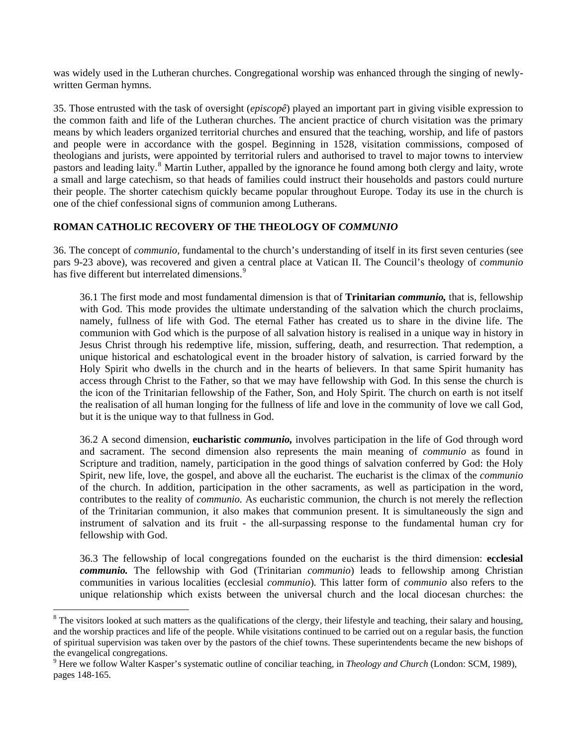was widely used in the Lutheran churches. Congregational worship was enhanced through the singing of newlywritten German hymns.

35. Those entrusted with the task of oversight (*episcopê*) played an important part in giving visible expression to the common faith and life of the Lutheran churches. The ancient practice of church visitation was the primary means by which leaders organized territorial churches and ensured that the teaching, worship, and life of pastors and people were in accordance with the gospel. Beginning in 1528, visitation commissions, composed of theologians and jurists, were appointed by territorial rulers and authorised to travel to major towns to interview pastors and leading laity.<sup>[8](#page-7-0)</sup> Martin Luther, appalled by the ignorance he found among both clergy and laity, wrote a small and large catechism, so that heads of families could instruct their households and pastors could nurture their people. The shorter catechism quickly became popular throughout Europe. Today its use in the church is one of the chief confessional signs of communion among Lutherans.

### **ROMAN CATHOLIC RECOVERY OF THE THEOLOGY OF** *COMMUNIO*

36. The concept of *communio,* fundamental to the church's understanding of itself in its first seven centuries (see pars 9-23 above), was recovered and given a central place at Vatican II. The Council's theology of *communio*  has five different but interrelated dimensions.<sup>[9](#page-7-1)</sup>

36.1 The first mode and most fundamental dimension is that of **Trinitarian** *communio,* that is, fellowship with God. This mode provides the ultimate understanding of the salvation which the church proclaims, namely, fullness of life with God. The eternal Father has created us to share in the divine life. The communion with God which is the purpose of all salvation history is realised in a unique way in history in Jesus Christ through his redemptive life, mission, suffering, death, and resurrection. That redemption, a unique historical and eschatological event in the broader history of salvation, is carried forward by the Holy Spirit who dwells in the church and in the hearts of believers. In that same Spirit humanity has access through Christ to the Father, so that we may have fellowship with God. In this sense the church is the icon of the Trinitarian fellowship of the Father, Son, and Holy Spirit. The church on earth is not itself the realisation of all human longing for the fullness of life and love in the community of love we call God, but it is the unique way to that fullness in God.

36.2 A second dimension, **eucharistic** *communio,* involves participation in the life of God through word and sacrament. The second dimension also represents the main meaning of *communio* as found in Scripture and tradition, namely, participation in the good things of salvation conferred by God: the Holy Spirit, new life, love, the gospel, and above all the eucharist. The eucharist is the climax of the *communio*  of the church. In addition, participation in the other sacraments, as well as participation in the word, contributes to the reality of *communio.* As eucharistic communion, the church is not merely the reflection of the Trinitarian communion, it also makes that communion present. It is simultaneously the sign and instrument of salvation and its fruit - the all-surpassing response to the fundamental human cry for fellowship with God.

36.3 The fellowship of local congregations founded on the eucharist is the third dimension: **ecclesial**  *communio.* The fellowship with God (Trinitarian *communio*) leads to fellowship among Christian communities in various localities (ecclesial *communio*)*.* This latter form of *communio* also refers to the unique relationship which exists between the universal church and the local diocesan churches: the

 $\overline{a}$ 

<span id="page-7-0"></span> $8$  The visitors looked at such matters as the qualifications of the clergy, their lifestyle and teaching, their salary and housing, and the worship practices and life of the people. While visitations continued to be carried out on a regular basis, the function of spiritual supervision was taken over by the pastors of the chief towns. These superintendents became the new bishops of the evangelical congregations.

<span id="page-7-1"></span><sup>9</sup> Here we follow Walter Kasper's systematic outline of conciliar teaching, in *Theology and Church* (London: SCM, 1989), pages 148-165.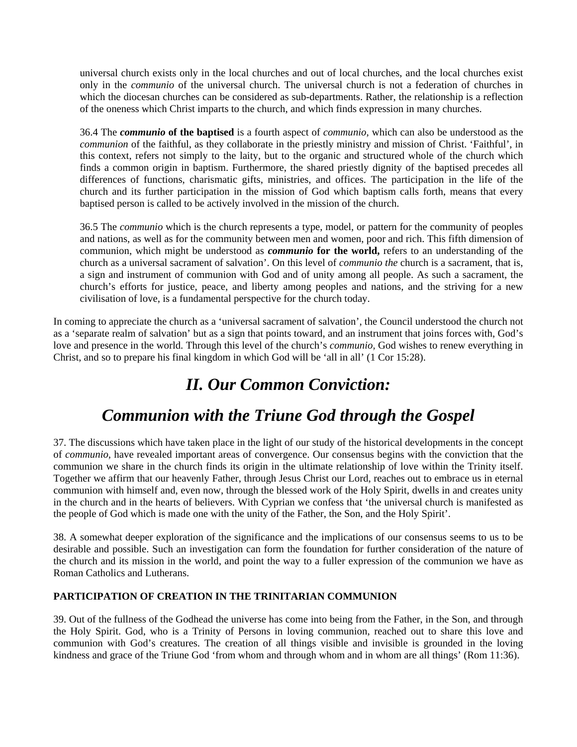universal church exists only in the local churches and out of local churches, and the local churches exist only in the *communio* of the universal church. The universal church is not a federation of churches in which the diocesan churches can be considered as sub-departments. Rather, the relationship is a reflection of the oneness which Christ imparts to the church, and which finds expression in many churches.

36.4 The *communio* **of the baptised** is a fourth aspect of *communio,* which can also be understood as the *communion* of the faithful, as they collaborate in the priestly ministry and mission of Christ. 'Faithful', in this context, refers not simply to the laity, but to the organic and structured whole of the church which finds a common origin in baptism. Furthermore, the shared priestly dignity of the baptised precedes all differences of functions, charismatic gifts, ministries, and offices. The participation in the life of the church and its further participation in the mission of God which baptism calls forth, means that every baptised person is called to be actively involved in the mission of the church.

36.5 The *communio* which is the church represents a type, model, or pattern for the community of peoples and nations, as well as for the community between men and women, poor and rich. This fifth dimension of communion, which might be understood as *communio* **for the world,** refers to an understanding of the church as a universal sacrament of salvation'. On this level of *communio the* church is a sacrament, that is, a sign and instrument of communion with God and of unity among all people. As such a sacrament, the church's efforts for justice, peace, and liberty among peoples and nations, and the striving for a new civilisation of love, is a fundamental perspective for the church today.

In coming to appreciate the church as a 'universal sacrament of salvation', the Council understood the church not as a 'separate realm of salvation' but as a sign that points toward, and an instrument that joins forces with, God's love and presence in the world. Through this level of the church's *communio,* God wishes to renew everything in Christ, and so to prepare his final kingdom in which God will be 'all in all' (1 Cor 15:28).

# *II. Our Common Conviction:*

# *Communion with the Triune God through the Gospel*

37. The discussions which have taken place in the light of our study of the historical developments in the concept of *communio,* have revealed important areas of convergence. Our consensus begins with the conviction that the communion we share in the church finds its origin in the ultimate relationship of love within the Trinity itself. Together we affirm that our heavenly Father, through Jesus Christ our Lord, reaches out to embrace us in eternal communion with himself and, even now, through the blessed work of the Holy Spirit, dwells in and creates unity in the church and in the hearts of believers. With Cyprian we confess that 'the universal church is manifested as the people of God which is made one with the unity of the Father, the Son, and the Holy Spirit'.

38. A somewhat deeper exploration of the significance and the implications of our consensus seems to us to be desirable and possible. Such an investigation can form the foundation for further consideration of the nature of the church and its mission in the world, and point the way to a fuller expression of the communion we have as Roman Catholics and Lutherans.

### **PARTICIPATION OF CREATION IN THE TRINITARIAN COMMUNION**

39. Out of the fullness of the Godhead the universe has come into being from the Father, in the Son, and through the Holy Spirit. God, who is a Trinity of Persons in loving communion, reached out to share this love and communion with God's creatures. The creation of all things visible and invisible is grounded in the loving kindness and grace of the Triune God 'from whom and through whom and in whom are all things' (Rom 11:36).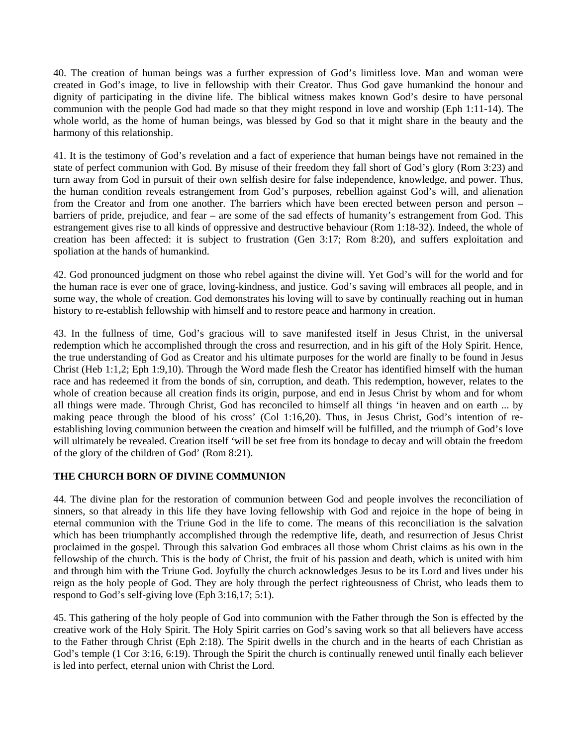40. The creation of human beings was a further expression of God's limitless love. Man and woman were created in God's image, to live in fellowship with their Creator. Thus God gave humankind the honour and dignity of participating in the divine life. The biblical witness makes known God's desire to have personal communion with the people God had made so that they might respond in love and worship (Eph 1:11-14). The whole world, as the home of human beings, was blessed by God so that it might share in the beauty and the harmony of this relationship.

41. It is the testimony of God's revelation and a fact of experience that human beings have not remained in the state of perfect communion with God. By misuse of their freedom they fall short of God's glory (Rom 3:23) and turn away from God in pursuit of their own selfish desire for false independence, knowledge, and power. Thus, the human condition reveals estrangement from God's purposes, rebellion against God's will, and alienation from the Creator and from one another. The barriers which have been erected between person and person – barriers of pride, prejudice, and fear – are some of the sad effects of humanity's estrangement from God. This estrangement gives rise to all kinds of oppressive and destructive behaviour (Rom 1:18-32). Indeed, the whole of creation has been affected: it is subject to frustration (Gen 3:17; Rom 8:20), and suffers exploitation and spoliation at the hands of humankind.

42. God pronounced judgment on those who rebel against the divine will. Yet God's will for the world and for the human race is ever one of grace, loving-kindness, and justice. God's saving will embraces all people, and in some way, the whole of creation. God demonstrates his loving will to save by continually reaching out in human history to re-establish fellowship with himself and to restore peace and harmony in creation.

43. In the fullness of time, God's gracious will to save manifested itself in Jesus Christ, in the universal redemption which he accomplished through the cross and resurrection, and in his gift of the Holy Spirit. Hence, the true understanding of God as Creator and his ultimate purposes for the world are finally to be found in Jesus Christ (Heb 1:1,2; Eph 1:9,10). Through the Word made flesh the Creator has identified himself with the human race and has redeemed it from the bonds of sin, corruption, and death. This redemption, however, relates to the whole of creation because all creation finds its origin, purpose, and end in Jesus Christ by whom and for whom all things were made. Through Christ, God has reconciled to himself all things 'in heaven and on earth ... by making peace through the blood of his cross' (Col 1:16,20). Thus, in Jesus Christ, God's intention of reestablishing loving communion between the creation and himself will be fulfilled, and the triumph of God's love will ultimately be revealed. Creation itself 'will be set free from its bondage to decay and will obtain the freedom of the glory of the children of God' (Rom 8:21).

### **THE CHURCH BORN OF DIVINE COMMUNION**

44. The divine plan for the restoration of communion between God and people involves the reconciliation of sinners, so that already in this life they have loving fellowship with God and rejoice in the hope of being in eternal communion with the Triune God in the life to come. The means of this reconciliation is the salvation which has been triumphantly accomplished through the redemptive life, death, and resurrection of Jesus Christ proclaimed in the gospel. Through this salvation God embraces all those whom Christ claims as his own in the fellowship of the church. This is the body of Christ, the fruit of his passion and death, which is united with him and through him with the Triune God. Joyfully the church acknowledges Jesus to be its Lord and lives under his reign as the holy people of God. They are holy through the perfect righteousness of Christ, who leads them to respond to God's self-giving love (Eph 3:16,17; 5:1).

45. This gathering of the holy people of God into communion with the Father through the Son is effected by the creative work of the Holy Spirit. The Holy Spirit carries on God's saving work so that all believers have access to the Father through Christ (Eph 2:18). The Spirit dwells in the church and in the hearts of each Christian as God's temple (1 Cor 3:16, 6:19). Through the Spirit the church is continually renewed until finally each believer is led into perfect, eternal union with Christ the Lord.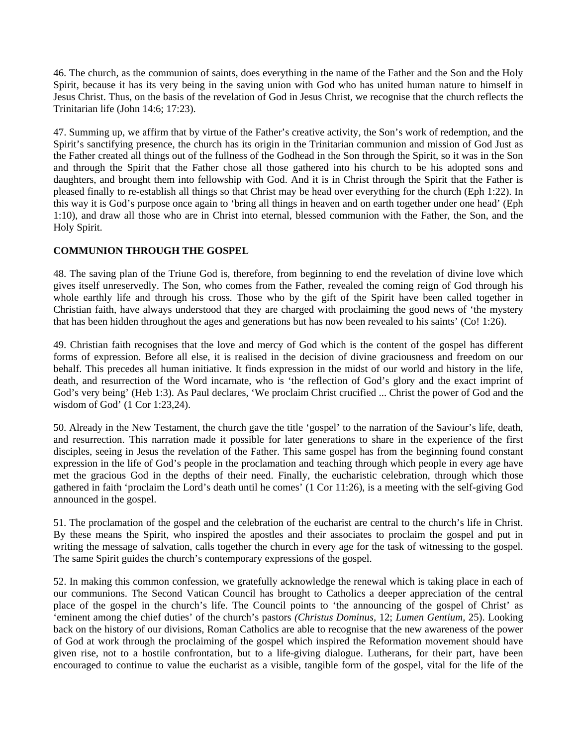46. The church, as the communion of saints, does everything in the name of the Father and the Son and the Holy Spirit, because it has its very being in the saving union with God who has united human nature to himself in Jesus Christ. Thus, on the basis of the revelation of God in Jesus Christ, we recognise that the church reflects the Trinitarian life (John 14:6; 17:23).

47. Summing up, we affirm that by virtue of the Father's creative activity, the Son's work of redemption, and the Spirit's sanctifying presence, the church has its origin in the Trinitarian communion and mission of God Just as the Father created all things out of the fullness of the Godhead in the Son through the Spirit, so it was in the Son and through the Spirit that the Father chose all those gathered into his church to be his adopted sons and daughters, and brought them into fellowship with God. And it is in Christ through the Spirit that the Father is pleased finally to re-establish all things so that Christ may be head over everything for the church (Eph 1:22). In this way it is God's purpose once again to 'bring all things in heaven and on earth together under one head' (Eph 1:10), and draw all those who are in Christ into eternal, blessed communion with the Father, the Son, and the Holy Spirit.

### **COMMUNION THROUGH THE GOSPEL**

48. The saving plan of the Triune God is, therefore, from beginning to end the revelation of divine love which gives itself unreservedly. The Son, who comes from the Father, revealed the coming reign of God through his whole earthly life and through his cross. Those who by the gift of the Spirit have been called together in Christian faith, have always understood that they are charged with proclaiming the good news of 'the mystery that has been hidden throughout the ages and generations but has now been revealed to his saints' (Co! 1:26).

49. Christian faith recognises that the love and mercy of God which is the content of the gospel has different forms of expression. Before all else, it is realised in the decision of divine graciousness and freedom on our behalf. This precedes all human initiative. It finds expression in the midst of our world and history in the life, death, and resurrection of the Word incarnate, who is 'the reflection of God's glory and the exact imprint of God's very being' (Heb 1:3). As Paul declares, 'We proclaim Christ crucified ... Christ the power of God and the wisdom of God' (1 Cor 1:23,24).

50. Already in the New Testament, the church gave the title 'gospel' to the narration of the Saviour's life, death, and resurrection. This narration made it possible for later generations to share in the experience of the first disciples, seeing in Jesus the revelation of the Father. This same gospel has from the beginning found constant expression in the life of God's people in the proclamation and teaching through which people in every age have met the gracious God in the depths of their need. Finally, the eucharistic celebration, through which those gathered in faith 'proclaim the Lord's death until he comes' (1 Cor 11:26), is a meeting with the self-giving God announced in the gospel.

51. The proclamation of the gospel and the celebration of the eucharist are central to the church's life in Christ. By these means the Spirit, who inspired the apostles and their associates to proclaim the gospel and put in writing the message of salvation, calls together the church in every age for the task of witnessing to the gospel. The same Spirit guides the church's contemporary expressions of the gospel.

52. In making this common confession, we gratefully acknowledge the renewal which is taking place in each of our communions. The Second Vatican Council has brought to Catholics a deeper appreciation of the central place of the gospel in the church's life. The Council points to 'the announcing of the gospel of Christ' as 'eminent among the chief duties' of the church's pastors *(Christus Dominus,* 12; *Lumen Gentium,* 25). Looking back on the history of our divisions, Roman Catholics are able to recognise that the new awareness of the power of God at work through the proclaiming of the gospel which inspired the Reformation movement should have given rise, not to a hostile confrontation, but to a life-giving dialogue. Lutherans, for their part, have been encouraged to continue to value the eucharist as a visible, tangible form of the gospel, vital for the life of the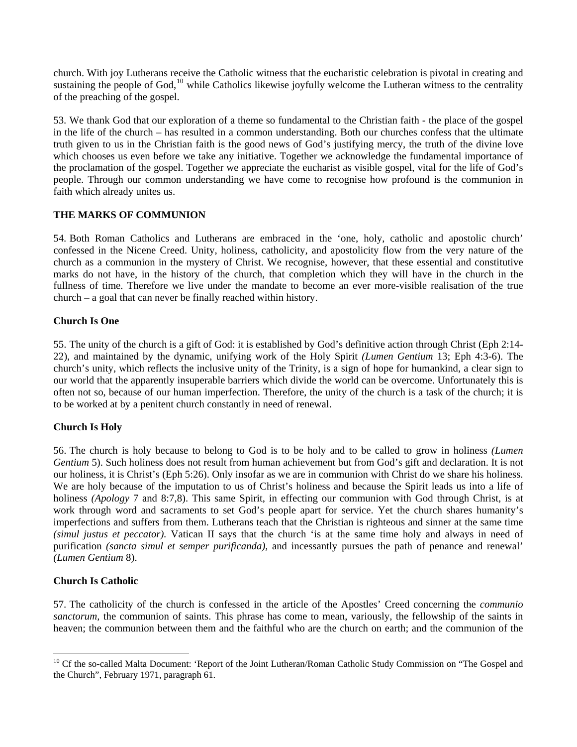church. With joy Lutherans receive the Catholic witness that the eucharistic celebration is pivotal in creating and sustaining the people of God,<sup>10</sup> while Catholics likewise joyfully welcome the Lutheran witness to the centrality of the preaching of the gospel.

53. We thank God that our exploration of a theme so fundamental to the Christian faith - the place of the gospel in the life of the church – has resulted in a common understanding. Both our churches confess that the ultimate truth given to us in the Christian faith is the good news of God's justifying mercy, the truth of the divine love which chooses us even before we take any initiative. Together we acknowledge the fundamental importance of the proclamation of the gospel. Together we appreciate the eucharist as visible gospel, vital for the life of God's people. Through our common understanding we have come to recognise how profound is the communion in faith which already unites us.

### **THE MARKS OF COMMUNION**

54. Both Roman Catholics and Lutherans are embraced in the 'one, holy, catholic and apostolic church' confessed in the Nicene Creed. Unity, holiness, catholicity, and apostolicity flow from the very nature of the church as a communion in the mystery of Christ. We recognise, however, that these essential and constitutive marks do not have, in the history of the church, that completion which they will have in the church in the fullness of time. Therefore we live under the mandate to become an ever more-visible realisation of the true church – a goal that can never be finally reached within history.

#### **Church Is One**

55. The unity of the church is a gift of God: it is established by God's definitive action through Christ (Eph 2:14- 22), and maintained by the dynamic, unifying work of the Holy Spirit *(Lumen Gentium* 13; Eph 4:3-6). The church's unity, which reflects the inclusive unity of the Trinity, is a sign of hope for humankind, a clear sign to our world that the apparently insuperable barriers which divide the world can be overcome. Unfortunately this is often not so, because of our human imperfection. Therefore, the unity of the church is a task of the church; it is to be worked at by a penitent church constantly in need of renewal.

### **Church Is Holy**

56. The church is holy because to belong to God is to be holy and to be called to grow in holiness *(Lumen Gentium* 5). Such holiness does not result from human achievement but from God's gift and declaration. It is not our holiness, it is Christ's (Eph 5:26). Only insofar as we are in communion with Christ do we share his holiness. We are holy because of the imputation to us of Christ's holiness and because the Spirit leads us into a life of holiness *(Apology* 7 and 8:7,8). This same Spirit, in effecting our communion with God through Christ, is at work through word and sacraments to set God's people apart for service. Yet the church shares humanity's imperfections and suffers from them. Lutherans teach that the Christian is righteous and sinner at the same time *(simul justus et peccator).* Vatican II says that the church 'is at the same time holy and always in need of purification *(sancta simul et semper purificanda),* and incessantly pursues the path of penance and renewal' *(Lumen Gentium* 8).

### **Church Is Catholic**

 $\overline{a}$ 

57. The catholicity of the church is confessed in the article of the Apostles' Creed concerning the *communio sanctorum,* the communion of saints. This phrase has come to mean, variously, the fellowship of the saints in heaven; the communion between them and the faithful who are the church on earth; and the communion of the

<sup>&</sup>lt;sup>10</sup> Cf the so-called Malta Document: 'Report of the Joint Lutheran/Roman Catholic Study Commission on "The Gospel and the Church", February 1971, paragraph 61.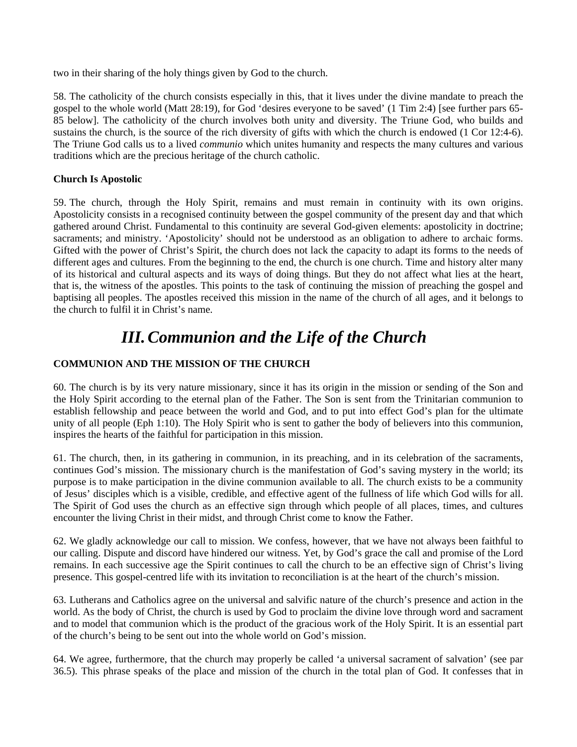two in their sharing of the holy things given by God to the church.

58. The catholicity of the church consists especially in this, that it lives under the divine mandate to preach the gospel to the whole world (Matt 28:19), for God 'desires everyone to be saved' (1 Tim 2:4) [see further pars 65- 85 below]. The catholicity of the church involves both unity and diversity. The Triune God, who builds and sustains the church, is the source of the rich diversity of gifts with which the church is endowed (1 Cor 12:4-6). The Triune God calls us to a lived *communio* which unites humanity and respects the many cultures and various traditions which are the precious heritage of the church catholic.

### **Church Is Apostolic**

59. The church, through the Holy Spirit, remains and must remain in continuity with its own origins. Apostolicity consists in a recognised continuity between the gospel community of the present day and that which gathered around Christ. Fundamental to this continuity are several God-given elements: apostolicity in doctrine; sacraments; and ministry. 'Apostolicity' should not be understood as an obligation to adhere to archaic forms. Gifted with the power of Christ's Spirit, the church does not lack the capacity to adapt its forms to the needs of different ages and cultures. From the beginning to the end, the church is one church. Time and history alter many of its historical and cultural aspects and its ways of doing things. But they do not affect what lies at the heart, that is, the witness of the apostles. This points to the task of continuing the mission of preaching the gospel and baptising all peoples. The apostles received this mission in the name of the church of all ages, and it belongs to the church to fulfil it in Christ's name.

## *III. Communion and the Life of the Church*

### **COMMUNION AND THE MISSION OF THE CHURCH**

60. The church is by its very nature missionary, since it has its origin in the mission or sending of the Son and the Holy Spirit according to the eternal plan of the Father. The Son is sent from the Trinitarian communion to establish fellowship and peace between the world and God, and to put into effect God's plan for the ultimate unity of all people (Eph 1:10). The Holy Spirit who is sent to gather the body of believers into this communion, inspires the hearts of the faithful for participation in this mission.

61. The church, then, in its gathering in communion, in its preaching, and in its celebration of the sacraments, continues God's mission. The missionary church is the manifestation of God's saving mystery in the world; its purpose is to make participation in the divine communion available to all. The church exists to be a community of Jesus' disciples which is a visible, credible, and effective agent of the fullness of life which God wills for all. The Spirit of God uses the church as an effective sign through which people of all places, times, and cultures encounter the living Christ in their midst, and through Christ come to know the Father.

62. We gladly acknowledge our call to mission. We confess, however, that we have not always been faithful to our calling. Dispute and discord have hindered our witness. Yet, by God's grace the call and promise of the Lord remains. In each successive age the Spirit continues to call the church to be an effective sign of Christ's living presence. This gospel-centred life with its invitation to reconciliation is at the heart of the church's mission.

63. Lutherans and Catholics agree on the universal and salvific nature of the church's presence and action in the world. As the body of Christ, the church is used by God to proclaim the divine love through word and sacrament and to model that communion which is the product of the gracious work of the Holy Spirit. It is an essential part of the church's being to be sent out into the whole world on God's mission.

64. We agree, furthermore, that the church may properly be called 'a universal sacrament of salvation' (see par 36.5). This phrase speaks of the place and mission of the church in the total plan of God. It confesses that in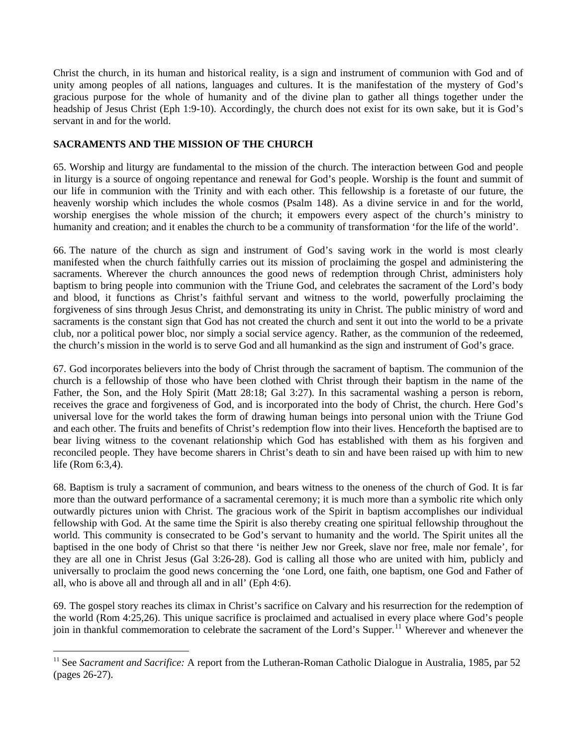Christ the church, in its human and historical reality, is a sign and instrument of communion with God and of unity among peoples of all nations, languages and cultures. It is the manifestation of the mystery of God's gracious purpose for the whole of humanity and of the divine plan to gather all things together under the headship of Jesus Christ (Eph 1:9-10). Accordingly, the church does not exist for its own sake, but it is God's servant in and for the world.

### **SACRAMENTS AND THE MISSION OF THE CHURCH**

 $\overline{a}$ 

65. Worship and liturgy are fundamental to the mission of the church. The interaction between God and people in liturgy is a source of ongoing repentance and renewal for God's people. Worship is the fount and summit of our life in communion with the Trinity and with each other. This fellowship is a foretaste of our future, the heavenly worship which includes the whole cosmos (Psalm 148). As a divine service in and for the world, worship energises the whole mission of the church; it empowers every aspect of the church's ministry to humanity and creation; and it enables the church to be a community of transformation 'for the life of the world'.

66. The nature of the church as sign and instrument of God's saving work in the world is most clearly manifested when the church faithfully carries out its mission of proclaiming the gospel and administering the sacraments. Wherever the church announces the good news of redemption through Christ, administers holy baptism to bring people into communion with the Triune God, and celebrates the sacrament of the Lord's body and blood, it functions as Christ's faithful servant and witness to the world, powerfully proclaiming the forgiveness of sins through Jesus Christ, and demonstrating its unity in Christ. The public ministry of word and sacraments is the constant sign that God has not created the church and sent it out into the world to be a private club, nor a political power bloc, nor simply a social service agency. Rather, as the communion of the redeemed, the church's mission in the world is to serve God and all humankind as the sign and instrument of God's grace.

67. God incorporates believers into the body of Christ through the sacrament of baptism. The communion of the church is a fellowship of those who have been clothed with Christ through their baptism in the name of the Father, the Son, and the Holy Spirit (Matt 28:18; Gal 3:27). In this sacramental washing a person is reborn, receives the grace and forgiveness of God, and is incorporated into the body of Christ, the church. Here God's universal love for the world takes the form of drawing human beings into personal union with the Triune God and each other. The fruits and benefits of Christ's redemption flow into their lives. Henceforth the baptised are to bear living witness to the covenant relationship which God has established with them as his forgiven and reconciled people. They have become sharers in Christ's death to sin and have been raised up with him to new life (Rom 6:3,4).

68. Baptism is truly a sacrament of communion, and bears witness to the oneness of the church of God. It is far more than the outward performance of a sacramental ceremony; it is much more than a symbolic rite which only outwardly pictures union with Christ. The gracious work of the Spirit in baptism accomplishes our individual fellowship with God. At the same time the Spirit is also thereby creating one spiritual fellowship throughout the world. This community is consecrated to be God's servant to humanity and the world. The Spirit unites all the baptised in the one body of Christ so that there 'is neither Jew nor Greek, slave nor free, male nor female', for they are all one in Christ Jesus (Gal 3:26-28). God is calling all those who are united with him, publicly and universally to proclaim the good news concerning the 'one Lord, one faith, one baptism, one God and Father of all, who is above all and through all and in all' (Eph 4:6).

69. The gospel story reaches its climax in Christ's sacrifice on Calvary and his resurrection for the redemption of the world (Rom 4:25,26). This unique sacrifice is proclaimed and actualised in every place where God's people join in thankful commemoration to celebrate the sacrament of the Lord's Supper.<sup>[11](#page-13-0)</sup> Wherever and whenever the

<span id="page-13-0"></span><sup>11</sup> See *Sacrament and Sacrifice:* A report from the Lutheran-Roman Catholic Dialogue in Australia, 1985, par 52 (pages 26-27).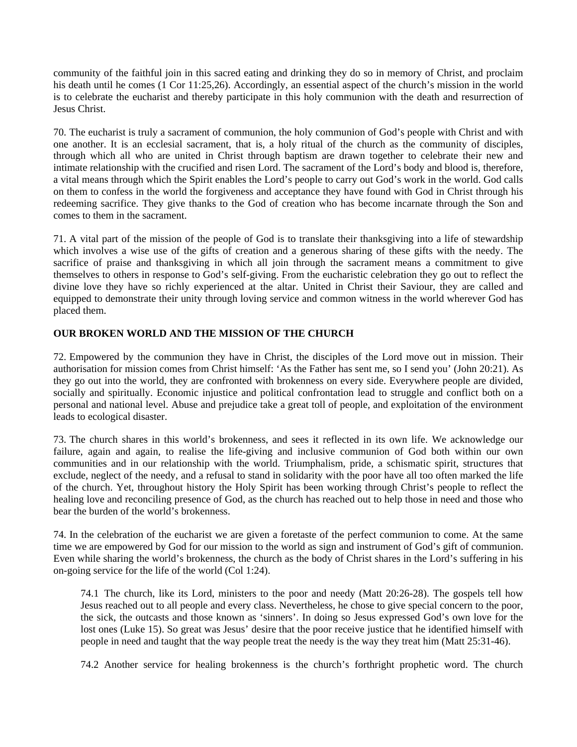community of the faithful join in this sacred eating and drinking they do so in memory of Christ, and proclaim his death until he comes (1 Cor 11:25,26). Accordingly, an essential aspect of the church's mission in the world is to celebrate the eucharist and thereby participate in this holy communion with the death and resurrection of Jesus Christ.

70. The eucharist is truly a sacrament of communion, the holy communion of God's people with Christ and with one another. It is an ecclesial sacrament, that is, a holy ritual of the church as the community of disciples, through which all who are united in Christ through baptism are drawn together to celebrate their new and intimate relationship with the crucified and risen Lord. The sacrament of the Lord's body and blood is, therefore, a vital means through which the Spirit enables the Lord's people to carry out God's work in the world. God calls on them to confess in the world the forgiveness and acceptance they have found with God in Christ through his redeeming sacrifice. They give thanks to the God of creation who has become incarnate through the Son and comes to them in the sacrament.

71. A vital part of the mission of the people of God is to translate their thanksgiving into a life of stewardship which involves a wise use of the gifts of creation and a generous sharing of these gifts with the needy. The sacrifice of praise and thanksgiving in which all join through the sacrament means a commitment to give themselves to others in response to God's self-giving. From the eucharistic celebration they go out to reflect the divine love they have so richly experienced at the altar. United in Christ their Saviour, they are called and equipped to demonstrate their unity through loving service and common witness in the world wherever God has placed them.

### **OUR BROKEN WORLD AND THE MISSION OF THE CHURCH**

72. Empowered by the communion they have in Christ, the disciples of the Lord move out in mission. Their authorisation for mission comes from Christ himself: 'As the Father has sent me, so I send you' (John 20:21). As they go out into the world, they are confronted with brokenness on every side. Everywhere people are divided, socially and spiritually. Economic injustice and political confrontation lead to struggle and conflict both on a personal and national level. Abuse and prejudice take a great toll of people, and exploitation of the environment leads to ecological disaster.

73. The church shares in this world's brokenness, and sees it reflected in its own life. We acknowledge our failure, again and again, to realise the life-giving and inclusive communion of God both within our own communities and in our relationship with the world. Triumphalism, pride, a schismatic spirit, structures that exclude, neglect of the needy, and a refusal to stand in solidarity with the poor have all too often marked the life of the church. Yet, throughout history the Holy Spirit has been working through Christ's people to reflect the healing love and reconciling presence of God, as the church has reached out to help those in need and those who bear the burden of the world's brokenness.

74. In the celebration of the eucharist we are given a foretaste of the perfect communion to come. At the same time we are empowered by God for our mission to the world as sign and instrument of God's gift of communion. Even while sharing the world's brokenness, the church as the body of Christ shares in the Lord's suffering in his on-going service for the life of the world (Col 1:24).

74.1 The church, like its Lord, ministers to the poor and needy (Matt 20:26-28). The gospels tell how Jesus reached out to all people and every class. Nevertheless, he chose to give special concern to the poor, the sick, the outcasts and those known as 'sinners'. In doing so Jesus expressed God's own love for the lost ones (Luke 15). So great was Jesus' desire that the poor receive justice that he identified himself with people in need and taught that the way people treat the needy is the way they treat him (Matt 25:31-46).

74.2 Another service for healing brokenness is the church's forthright prophetic word. The church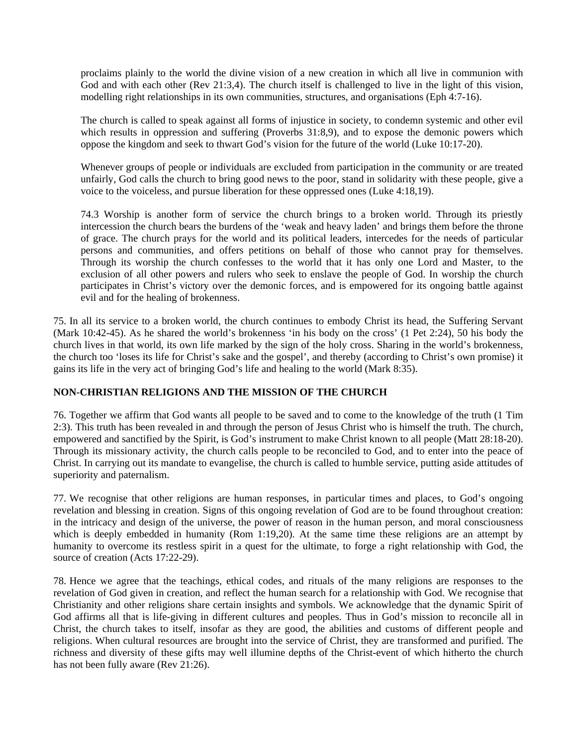proclaims plainly to the world the divine vision of a new creation in which all live in communion with God and with each other (Rev 21:3.4). The church itself is challenged to live in the light of this vision, modelling right relationships in its own communities, structures, and organisations (Eph 4:7-16).

The church is called to speak against all forms of injustice in society, to condemn systemic and other evil which results in oppression and suffering (Proverbs 31:8.9), and to expose the demonic powers which oppose the kingdom and seek to thwart God's vision for the future of the world (Luke 10:17-20).

Whenever groups of people or individuals are excluded from participation in the community or are treated unfairly, God calls the church to bring good news to the poor, stand in solidarity with these people, give a voice to the voiceless, and pursue liberation for these oppressed ones (Luke 4:18,19).

74.3 Worship is another form of service the church brings to a broken world. Through its priestly intercession the church bears the burdens of the 'weak and heavy laden' and brings them before the throne of grace. The church prays for the world and its political leaders, intercedes for the needs of particular persons and communities, and offers petitions on behalf of those who cannot pray for themselves. Through its worship the church confesses to the world that it has only one Lord and Master, to the exclusion of all other powers and rulers who seek to enslave the people of God. In worship the church participates in Christ's victory over the demonic forces, and is empowered for its ongoing battle against evil and for the healing of brokenness.

75. In all its service to a broken world, the church continues to embody Christ its head, the Suffering Servant (Mark 10:42-45). As he shared the world's brokenness 'in his body on the cross' (1 Pet 2:24), 50 his body the church lives in that world, its own life marked by the sign of the holy cross. Sharing in the world's brokenness, the church too 'loses its life for Christ's sake and the gospel', and thereby (according to Christ's own promise) it gains its life in the very act of bringing God's life and healing to the world (Mark 8:35).

### **NON-CHRISTIAN RELIGIONS AND THE MISSION OF THE CHURCH**

76. Together we affirm that God wants all people to be saved and to come to the knowledge of the truth (1 Tim 2:3). This truth has been revealed in and through the person of Jesus Christ who is himself the truth. The church, empowered and sanctified by the Spirit, is God's instrument to make Christ known to all people (Matt 28:18-20). Through its missionary activity, the church calls people to be reconciled to God, and to enter into the peace of Christ. In carrying out its mandate to evangelise, the church is called to humble service, putting aside attitudes of superiority and paternalism.

77. We recognise that other religions are human responses, in particular times and places, to God's ongoing revelation and blessing in creation. Signs of this ongoing revelation of God are to be found throughout creation: in the intricacy and design of the universe, the power of reason in the human person, and moral consciousness which is deeply embedded in humanity (Rom 1:19,20). At the same time these religions are an attempt by humanity to overcome its restless spirit in a quest for the ultimate, to forge a right relationship with God, the source of creation (Acts 17:22-29).

78. Hence we agree that the teachings, ethical codes, and rituals of the many religions are responses to the revelation of God given in creation, and reflect the human search for a relationship with God. We recognise that Christianity and other religions share certain insights and symbols. We acknowledge that the dynamic Spirit of God affirms all that is life-giving in different cultures and peoples. Thus in God's mission to reconcile all in Christ, the church takes to itself, insofar as they are good, the abilities and customs of different people and religions. When cultural resources are brought into the service of Christ, they are transformed and purified. The richness and diversity of these gifts may well illumine depths of the Christ-event of which hitherto the church has not been fully aware (Rev 21:26).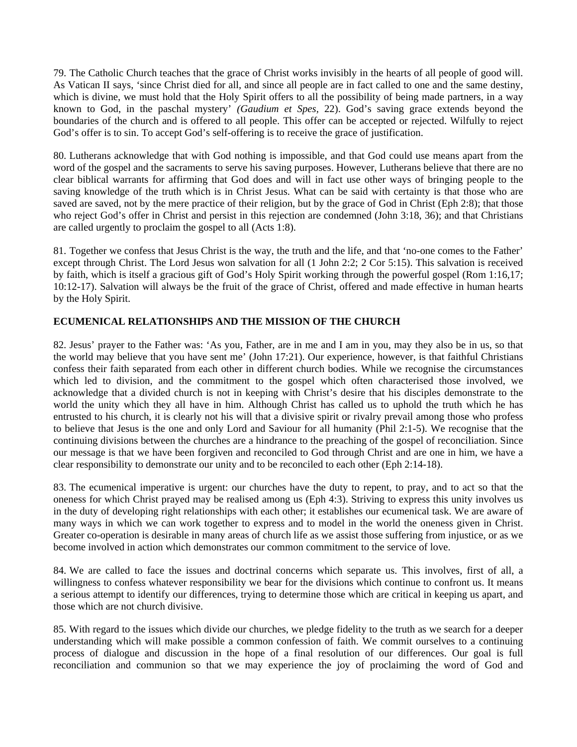79. The Catholic Church teaches that the grace of Christ works invisibly in the hearts of all people of good will. As Vatican II says, 'since Christ died for all, and since all people are in fact called to one and the same destiny, which is divine, we must hold that the Holy Spirit offers to all the possibility of being made partners, in a way known to God, in the paschal mystery' *(Gaudium et Spes,* 22). God's saving grace extends beyond the boundaries of the church and is offered to all people. This offer can be accepted or rejected. Wilfully to reject God's offer is to sin. To accept God's self-offering is to receive the grace of justification.

80. Lutherans acknowledge that with God nothing is impossible, and that God could use means apart from the word of the gospel and the sacraments to serve his saving purposes. However, Lutherans believe that there are no clear biblical warrants for affirming that God does and will in fact use other ways of bringing people to the saving knowledge of the truth which is in Christ Jesus. What can be said with certainty is that those who are saved are saved, not by the mere practice of their religion, but by the grace of God in Christ (Eph 2:8); that those who reject God's offer in Christ and persist in this rejection are condemned (John 3:18, 36); and that Christians are called urgently to proclaim the gospel to all (Acts 1:8).

81. Together we confess that Jesus Christ is the way, the truth and the life, and that 'no-one comes to the Father' except through Christ. The Lord Jesus won salvation for all (1 John 2:2; 2 Cor 5:15). This salvation is received by faith, which is itself a gracious gift of God's Holy Spirit working through the powerful gospel (Rom 1:16,17; 10:12-17). Salvation will always be the fruit of the grace of Christ, offered and made effective in human hearts by the Holy Spirit.

### **ECUMENICAL RELATIONSHIPS AND THE MISSION OF THE CHURCH**

82. Jesus' prayer to the Father was: 'As you, Father, are in me and I am in you, may they also be in us, so that the world may believe that you have sent me' (John 17:21). Our experience, however, is that faithful Christians confess their faith separated from each other in different church bodies. While we recognise the circumstances which led to division, and the commitment to the gospel which often characterised those involved, we acknowledge that a divided church is not in keeping with Christ's desire that his disciples demonstrate to the world the unity which they all have in him. Although Christ has called us to uphold the truth which he has entrusted to his church, it is clearly not his will that a divisive spirit or rivalry prevail among those who profess to believe that Jesus is the one and only Lord and Saviour for all humanity (Phil 2:1-5). We recognise that the continuing divisions between the churches are a hindrance to the preaching of the gospel of reconciliation. Since our message is that we have been forgiven and reconciled to God through Christ and are one in him, we have a clear responsibility to demonstrate our unity and to be reconciled to each other (Eph 2:14-18).

83. The ecumenical imperative is urgent: our churches have the duty to repent, to pray, and to act so that the oneness for which Christ prayed may be realised among us (Eph 4:3). Striving to express this unity involves us in the duty of developing right relationships with each other; it establishes our ecumenical task. We are aware of many ways in which we can work together to express and to model in the world the oneness given in Christ. Greater co-operation is desirable in many areas of church life as we assist those suffering from injustice, or as we become involved in action which demonstrates our common commitment to the service of love.

84. We are called to face the issues and doctrinal concerns which separate us. This involves, first of all, a willingness to confess whatever responsibility we bear for the divisions which continue to confront us. It means a serious attempt to identify our differences, trying to determine those which are critical in keeping us apart, and those which are not church divisive.

85. With regard to the issues which divide our churches, we pledge fidelity to the truth as we search for a deeper understanding which will make possible a common confession of faith. We commit ourselves to a continuing process of dialogue and discussion in the hope of a final resolution of our differences. Our goal is full reconciliation and communion so that we may experience the joy of proclaiming the word of God and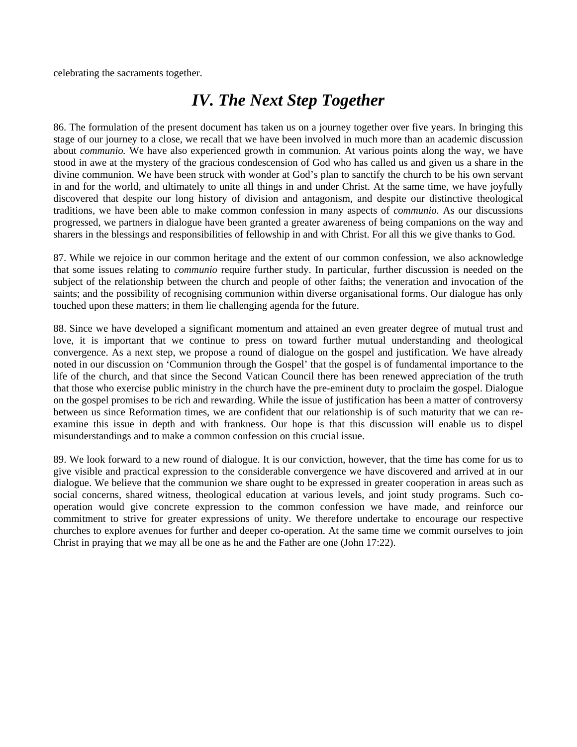celebrating the sacraments together.

### *IV. The Next Step Together*

86. The formulation of the present document has taken us on a journey together over five years. In bringing this stage of our journey to a close, we recall that we have been involved in much more than an academic discussion about *communio.* We have also experienced growth in communion. At various points along the way, we have stood in awe at the mystery of the gracious condescension of God who has called us and given us a share in the divine communion. We have been struck with wonder at God's plan to sanctify the church to be his own servant in and for the world, and ultimately to unite all things in and under Christ. At the same time, we have joyfully discovered that despite our long history of division and antagonism, and despite our distinctive theological traditions, we have been able to make common confession in many aspects of *communio.* As our discussions progressed, we partners in dialogue have been granted a greater awareness of being companions on the way and sharers in the blessings and responsibilities of fellowship in and with Christ. For all this we give thanks to God.

87. While we rejoice in our common heritage and the extent of our common confession, we also acknowledge that some issues relating to *communio* require further study. In particular, further discussion is needed on the subject of the relationship between the church and people of other faiths; the veneration and invocation of the saints; and the possibility of recognising communion within diverse organisational forms. Our dialogue has only touched upon these matters; in them lie challenging agenda for the future.

88. Since we have developed a significant momentum and attained an even greater degree of mutual trust and love, it is important that we continue to press on toward further mutual understanding and theological convergence. As a next step, we propose a round of dialogue on the gospel and justification. We have already noted in our discussion on 'Communion through the Gospel' that the gospel is of fundamental importance to the life of the church, and that since the Second Vatican Council there has been renewed appreciation of the truth that those who exercise public ministry in the church have the pre-eminent duty to proclaim the gospel. Dialogue on the gospel promises to be rich and rewarding. While the issue of justification has been a matter of controversy between us since Reformation times, we are confident that our relationship is of such maturity that we can reexamine this issue in depth and with frankness. Our hope is that this discussion will enable us to dispel misunderstandings and to make a common confession on this crucial issue.

89. We look forward to a new round of dialogue. It is our conviction, however, that the time has come for us to give visible and practical expression to the considerable convergence we have discovered and arrived at in our dialogue. We believe that the communion we share ought to be expressed in greater cooperation in areas such as social concerns, shared witness, theological education at various levels, and joint study programs. Such cooperation would give concrete expression to the common confession we have made, and reinforce our commitment to strive for greater expressions of unity. We therefore undertake to encourage our respective churches to explore avenues for further and deeper co-operation. At the same time we commit ourselves to join Christ in praying that we may all be one as he and the Father are one (John 17:22).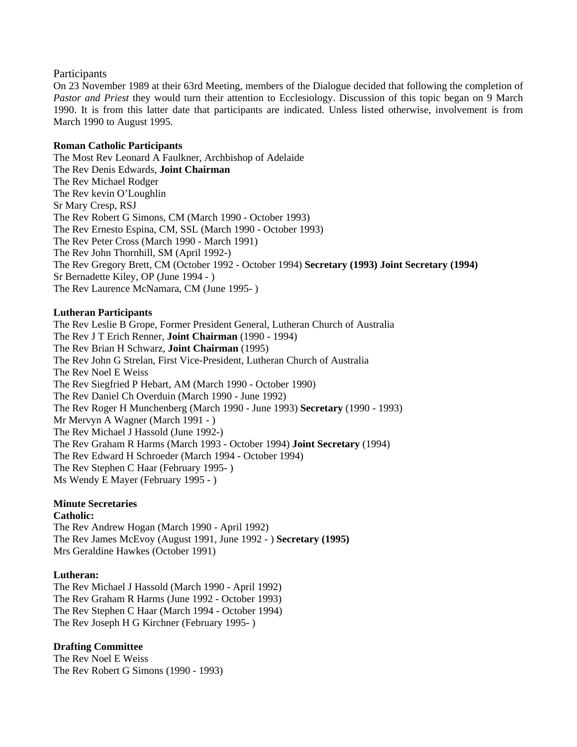### Participants

On 23 November 1989 at their 63rd Meeting, members of the Dialogue decided that following the completion of *Pastor and Priest* they would turn their attention to Ecclesiology. Discussion of this topic began on 9 March 1990. It is from this latter date that participants are indicated. Unless listed otherwise, involvement is from March 1990 to August 1995.

#### **Roman Catholic Participants**

The Most Rev Leonard A Faulkner, Archbishop of Adelaide The Rev Denis Edwards, **Joint Chairman**  The Rev Michael Rodger The Rev kevin O'Loughlin Sr Mary Cresp, RSJ The Rev Robert G Simons, CM (March 1990 - October 1993) The Rev Ernesto Espina, CM, SSL (March 1990 - October 1993) The Rev Peter Cross (March 1990 - March 1991) The Rev John Thornhill, SM (April 1992-) The Rev Gregory Brett, CM (October 1992 - October 1994) **Secretary (1993) Joint Secretary (1994)**  Sr Bernadette Kiley, OP (June 1994 - ) The Rev Laurence McNamara, CM (June 1995- )

### **Lutheran Participants**

The Rev Leslie B Grope, Former President General, Lutheran Church of Australia The Rev J T Erich Renner, **Joint Chairman** (1990 - 1994) The Rev Brian H Schwarz, **Joint Chairman** (1995) The Rev John G Strelan, First Vice-President, Lutheran Church of Australia The Rev Noel E Weiss The Rev Siegfried P Hebart, AM (March 1990 - October 1990) The Rev Daniel Ch Overduin (March 1990 - June 1992) The Rev Roger H Munchenberg (March 1990 - June 1993) **Secretary** (1990 - 1993) Mr Mervyn A Wagner (March 1991 - ) The Rev Michael J Hassold (June 1992-) The Rev Graham R Harms (March 1993 - October 1994) **Joint Secretary** (1994) The Rev Edward H Schroeder (March 1994 - October 1994) The Rev Stephen C Haar (February 1995- ) Ms Wendy E Mayer (February 1995 - )

### **Minute Secretaries**

#### **Catholic:**

The Rev Andrew Hogan (March 1990 - April 1992) The Rev James McEvoy (August 1991, June 1992 - ) **Secretary (1995)**  Mrs Geraldine Hawkes (October 1991)

### **Lutheran:**

The Rev Michael J Hassold (March 1990 - April 1992) The Rev Graham R Harms (June 1992 - October 1993) The Rev Stephen C Haar (March 1994 - October 1994) The Rev Joseph H G Kirchner (February 1995- )

### **Drafting Committee**

The Rev Noel E Weiss The Rev Robert G Simons (1990 - 1993)